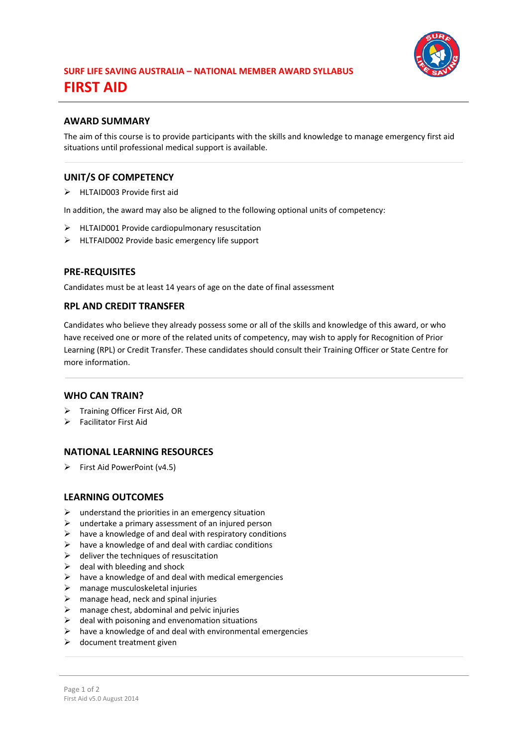

## **AWARD SUMMARY**

The aim of this course is to provide participants with the skills and knowledge to manage emergency first aid situations until professional medical support is available.

## **UNIT/S OF COMPETENCY**

> HLTAID003 Provide first aid

In addition, the award may also be aligned to the following optional units of competency:

- HLTAID001 Provide cardiopulmonary resuscitation
- HLTFAID002 Provide basic emergency life support

#### **PRE-REQUISITES**

Candidates must be at least 14 years of age on the date of final assessment

## **RPL AND CREDIT TRANSFER**

Candidates who believe they already possess some or all of the skills and knowledge of this award, or who have received one or more of the related units of competency, may wish to apply for Recognition of Prior Learning (RPL) or Credit Transfer. These candidates should consult their Training Officer or State Centre for more information.

#### **WHO CAN TRAIN?**

- > Training Officer First Aid, OR
- Facilitator First Aid

#### **NATIONAL LEARNING RESOURCES**

 $\triangleright$  First Aid PowerPoint (v4.5)

#### **LEARNING OUTCOMES**

- $\triangleright$  understand the priorities in an emergency situation
- $\triangleright$  undertake a primary assessment of an injured person
- $\triangleright$  have a knowledge of and deal with respiratory conditions
- $\triangleright$  have a knowledge of and deal with cardiac conditions
- $\triangleright$  deliver the techniques of resuscitation
- $\triangleright$  deal with bleeding and shock
- $\triangleright$  have a knowledge of and deal with medical emergencies
- $\triangleright$  manage musculoskeletal injuries
- $\triangleright$  manage head, neck and spinal injuries
- $\triangleright$  manage chest, abdominal and pelvic injuries
- $\triangleright$  deal with poisoning and envenomation situations
- $\triangleright$  have a knowledge of and deal with environmental emergencies
- $\triangleright$  document treatment given